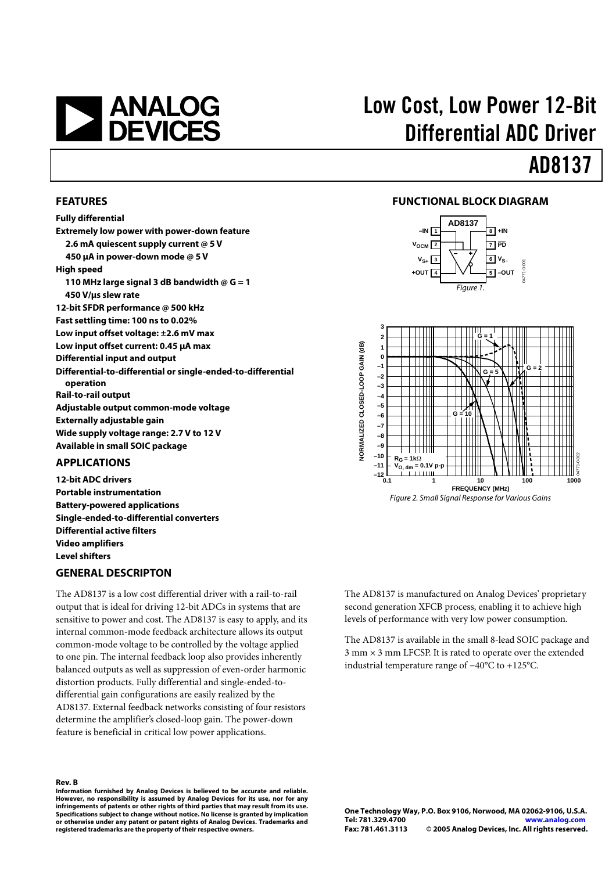# **EXAMALOG**<br>DEVICES

# Low Cost, Low Power 12-Bit Differential ADC Driver

# AD8137

### **FEATURES**

**Fully differential Extremely low power with power-down feature 2.6 mA quiescent supply current @ 5 V 450 µA in power-down mode @ 5 V High speed 110 MHz large signal 3 dB bandwidth @ G = 1 450 V/µs slew rate 12-bit SFDR performance @ 500 kHz Fast settling time: 100 ns to 0.02% Low input offset voltage: ±2.6 mV max Low input offset current: 0.45 µA max Differential input and output Differential-to-differential or single-ended-to-differential operation Rail-to-rail output Adjustable output common-mode voltage Externally adjustable gain Wide supply voltage range: 2.7 V to 12 V Available in small SOIC package** 

### **APPLICATIONS**

**12-bit ADC drivers Portable instrumentation Battery-powered applications Single-ended-to-differential converters Differential active filters Video amplifiers Level shifters** 

### **GENERAL DESCRIPTON**

The AD8137 is a low cost differential driver with a rail-to-rail output that is ideal for driving 12-bit ADCs in systems that are sensitive to power and cost. The AD8137 is easy to apply, and its internal common-mode feedback architecture allows its output common-mode voltage to be controlled by the voltage applied to one pin. The internal feedback loop also provides inherently balanced outputs as well as suppression of even-order harmonic distortion products. Fully differential and single-ended-todifferential gain configurations are easily realized by the AD8137. External feedback networks consisting of four resistors determine the amplifier's closed-loop gain. The power-down feature is beneficial in critical low power applications.

**Rev. B**<br>Information furnished by Analog Devices is believed to be accurate and reliable.<br>However, no responsibility is assumed by Analog Devices for its use, nor for any **infringements of patents or other rights of third parties that may result from its use. Specifications subject to change without notice. No license is granted by implication or otherwise under any patent or patent rights of Analog Devices. Trademarks and registered trademarks are the property of their respective owners.**

### **FUNCTIONAL BLOCK DIAGRAM**





The AD8137 is manufactured on Analog Devices' proprietary second generation XFCB process, enabling it to achieve high levels of performance with very low power consumption.

The AD8137 is available in the small 8-lead SOIC package and  $3$  mm  $\times$  3 mm LFCSP. It is rated to operate over the extended industrial temperature range of −40°C to +125°C.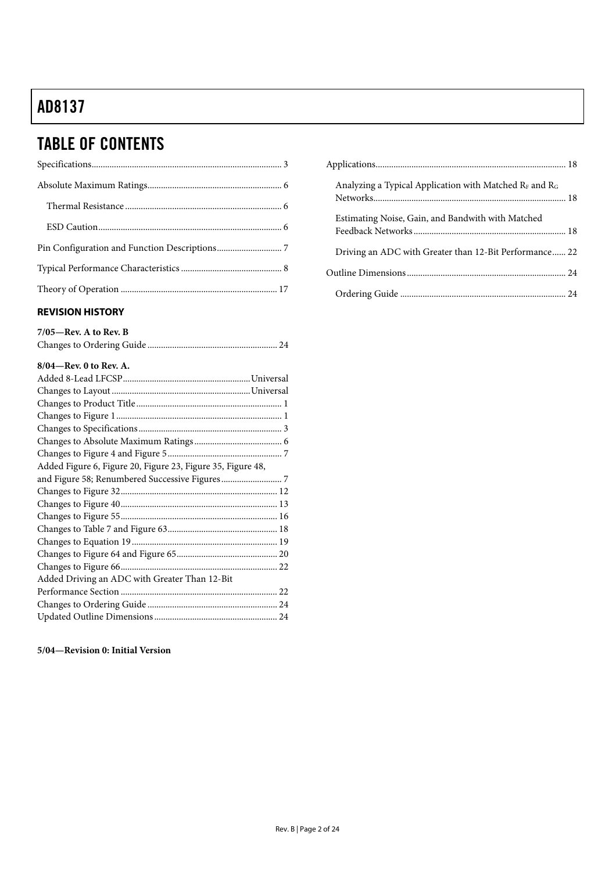# TABLE OF CONTENTS

### **REVISION HISTORY**

| $7/05$ —Rev. A to Rev. B |  |
|--------------------------|--|
|                          |  |

### **8/04—Rev. 0 to Rev. A.**

### **5/04—Revision 0: Initial Version**

| Analyzing a Typical Application with Matched $R_F$ and $R_G$ |  |
|--------------------------------------------------------------|--|
| Estimating Noise, Gain, and Bandwith with Matched            |  |
| Driving an ADC with Greater than 12-Bit Performance 22       |  |
|                                                              |  |
|                                                              |  |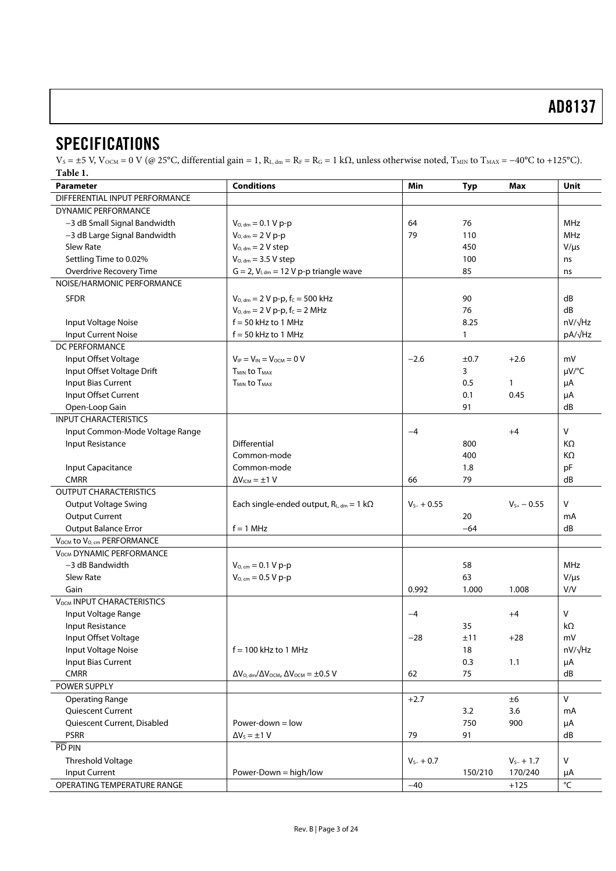### **SPECIFICATIONS**

 $V_S = \pm 5$  V,  $V_{\text{OCM}} = 0$  V (@ 25°C, differential gain = 1,  $R_L$ , dm =  $R_F = R_G = 1$  k $\Omega$ , unless otherwise noted,  $T_{\text{MIN}}$  to  $T_{\text{MAX}} = -40$ °C to +125°C). **Table 1.** 

| <b>Conditions</b><br>Min<br><b>Parameter</b><br><b>Typ</b><br>Max |                                                                  |                 |         |                 | Unit           |
|-------------------------------------------------------------------|------------------------------------------------------------------|-----------------|---------|-----------------|----------------|
| DIFFERENTIAL INPUT PERFORMANCE                                    |                                                                  |                 |         |                 |                |
| <b>DYNAMIC PERFORMANCE</b>                                        |                                                                  |                 |         |                 |                |
| -3 dB Small Signal Bandwidth                                      | $V_{O, dm} = 0.1 V p-p$<br>64<br>76                              |                 |         |                 | <b>MHz</b>     |
| -3 dB Large Signal Bandwidth                                      | $V_{O, dm} = 2 V p-p$                                            | 79<br>110       |         |                 | <b>MHz</b>     |
| <b>Slew Rate</b>                                                  | $V_{O, dm} = 2 V$ step                                           |                 | 450     |                 | $V/\mu s$      |
| Settling Time to 0.02%                                            | $V_{O, dm} = 3.5 V$ step                                         |                 | 100     |                 | ns             |
| Overdrive Recovery Time                                           | $G = 2$ , $V_{1, dm} = 12 V p-p$ triangle wave                   |                 | 85      |                 | ns             |
| NOISE/HARMONIC PERFORMANCE                                        |                                                                  |                 |         |                 |                |
| <b>SFDR</b>                                                       | $V_{O, dm} = 2 V p-p$ , f <sub>c</sub> = 500 kHz                 |                 | 90      |                 | dB             |
|                                                                   | $V_{O, dm} = 2 V p-p, f_C = 2 MHz$                               |                 | 76      |                 | dB             |
| Input Voltage Noise                                               | $f = 50$ kHz to 1 MHz                                            |                 | 8.25    |                 | nV/√Hz         |
| <b>Input Current Noise</b>                                        | $f = 50$ kHz to 1 MHz                                            |                 | 1       |                 | $pA/\sqrt{Hz}$ |
| <b>DC PERFORMANCE</b>                                             |                                                                  |                 |         |                 |                |
| Input Offset Voltage                                              | $V_{IP} = V_{IN} = V_{OCM} = 0 V$                                | $-2.6$          | ±0.7    | $+2.6$          | mV             |
| Input Offset Voltage Drift                                        | <b>TMIN to TMAX</b>                                              |                 | 3       |                 | µV/°C          |
| Input Bias Current                                                | <b>T<sub>MIN</sub></b> to T <sub>MAX</sub>                       |                 | 0.5     | $\mathbf{1}$    | μA             |
| Input Offset Current                                              |                                                                  |                 | 0.1     | 0.45            | μA             |
| Open-Loop Gain                                                    |                                                                  |                 | 91      |                 | dB             |
| <b>INPUT CHARACTERISTICS</b>                                      |                                                                  |                 |         |                 |                |
| Input Common-Mode Voltage Range                                   |                                                                  | $-4$            |         | $+4$            | $\vee$         |
| Input Resistance                                                  | Differential                                                     |                 | 800     |                 | KΩ             |
|                                                                   | Common-mode                                                      |                 | 400     |                 | ΚΩ             |
| Input Capacitance                                                 | Common-mode                                                      |                 | 1.8     |                 | pF             |
| <b>CMRR</b>                                                       | $\Delta V_{ICM} = \pm 1 V$                                       | 66              | 79      |                 | dB             |
| <b>OUTPUT CHARACTERISTICS</b>                                     |                                                                  |                 |         |                 |                |
| <b>Output Voltage Swing</b>                                       | Each single-ended output, $R_{L, dm} = 1 k\Omega$                | $V_{s-} + 0.55$ |         | $V_{S+}$ - 0.55 | v              |
| <b>Output Current</b>                                             |                                                                  |                 | 20      |                 | mA             |
| <b>Output Balance Error</b>                                       | $f = 1$ MHz                                                      | $-64$           |         |                 | dB             |
| V <sub>OCM</sub> to V <sub>O, cm</sub> PERFORMANCE                |                                                                  |                 |         |                 |                |
| VOCM DYNAMIC PERFORMANCE                                          |                                                                  |                 |         |                 |                |
| $-3$ dB Bandwidth                                                 | $V_{O, cm} = 0.1 V p-p$                                          |                 | 58      |                 | MHz            |
| <b>Slew Rate</b>                                                  | $V_{O, cm} = 0.5 V p-p$                                          |                 | 63      |                 | $V/\mu s$      |
| Gain                                                              |                                                                  | 0.992           | 1.000   | 1.008           | V/V            |
| VOCM INPUT CHARACTERISTICS                                        |                                                                  |                 |         |                 |                |
| Input Voltage Range                                               |                                                                  | $-4$            |         | $+4$            | v              |
| Input Resistance                                                  |                                                                  |                 | 35      |                 | kΩ             |
| Input Offset Voltage                                              |                                                                  | $-28$           | ±11     | $+28$           | mV             |
| Input Voltage Noise<br>$f = 100$ kHz to 1 MHz                     |                                                                  |                 | 18      |                 | nV/√Hz         |
| <b>Input Bias Current</b>                                         |                                                                  |                 | 0.3     | 1.1             | μA             |
| <b>CMRR</b>                                                       | $\Delta V_{O, dm}/\Delta V_{OCM}$ , $\Delta V_{OCM} = \pm 0.5$ V | 62              | 75      |                 | dB             |
| POWER SUPPLY                                                      |                                                                  |                 |         |                 |                |
| <b>Operating Range</b>                                            |                                                                  | $+2.7$          |         | ±6              | $\mathsf{V}$   |
| Quiescent Current                                                 |                                                                  |                 | 3.2     | 3.6             | mA             |
| Quiescent Current, Disabled                                       | Power-down $=$ low                                               |                 | 750     | 900             | μA             |
| <b>PSRR</b>                                                       | $\Delta V_5 = \pm 1$ V                                           | 79              | 91      |                 | dB             |
| PD PIN                                                            |                                                                  |                 |         |                 |                |
| Threshold Voltage                                                 |                                                                  | $V_{s-} + 0.7$  |         | $V_{s-} + 1.7$  | V              |
| Input Current                                                     | Power-Down = high/low                                            |                 | 150/210 | 170/240         | μA             |
| OPERATING TEMPERATURE RANGE                                       |                                                                  | $-40$           |         | $+125$          | $\overline{C}$ |
|                                                                   |                                                                  |                 |         |                 |                |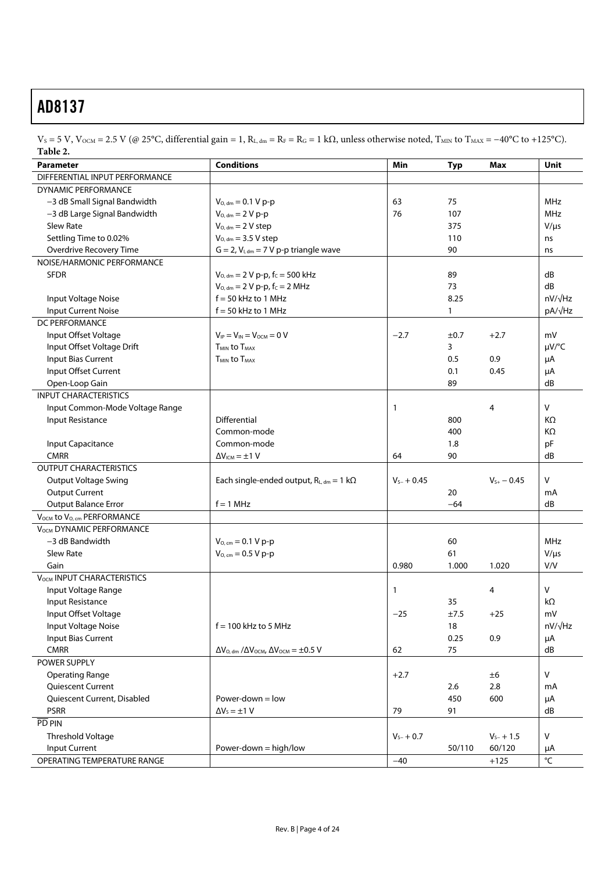$V_S$  = 5 V, V<sub>OCM</sub> = 2.5 V (@ 25°C, differential gain = 1, R<sub>L, dm</sub> = R<sub>F</sub> = R<sub>G</sub> = 1 kΩ, unless otherwise noted, T<sub>MIN</sub> to T<sub>MAX</sub> = −40°C to +125°C). **Table 2.** 

|                                                                                                                        | Unit           |  |
|------------------------------------------------------------------------------------------------------------------------|----------------|--|
| DIFFERENTIAL INPUT PERFORMANCE                                                                                         |                |  |
| <b>DYNAMIC PERFORMANCE</b>                                                                                             |                |  |
| 63<br>-3 dB Small Signal Bandwidth<br>$V_{O, dm} = 0.1 V p-p$<br>75                                                    | <b>MHz</b>     |  |
| -3 dB Large Signal Bandwidth<br>$V_{O, dm} = 2 V p-p$<br>76<br>107                                                     | <b>MHz</b>     |  |
| <b>Slew Rate</b><br>$V_{O, dm} = 2 V$ step<br>375                                                                      | $V/\mu s$      |  |
| Settling Time to 0.02%<br>$V_{O, dm} = 3.5 V$ step<br>110                                                              | ns             |  |
| Overdrive Recovery Time<br>$G = 2$ , $V_{l, dm} = 7 V p-p$ triangle wave<br>90                                         | ns             |  |
| NOISE/HARMONIC PERFORMANCE                                                                                             |                |  |
| <b>SFDR</b><br>$V_{O, dm} = 2 V p-p$ , fc = 500 kHz<br>89                                                              | dB             |  |
| $V_{O, dm} = 2 V p-p, f_C = 2 MHz$<br>73                                                                               | dB             |  |
| $f = 50$ kHz to 1 MHz<br>8.25<br>Input Voltage Noise                                                                   | $nV/\sqrt{Hz}$ |  |
| $f = 50$ kHz to 1 MHz<br>Input Current Noise<br>1                                                                      | $pA/\sqrt{Hz}$ |  |
| DC PERFORMANCE                                                                                                         |                |  |
| Input Offset Voltage<br>$V_{IP} = V_{IN} = V_{OCM} = 0 V$<br>$-2.7$<br>±0.7<br>$+2.7$                                  | mV             |  |
| Input Offset Voltage Drift<br>TMIN to TMAX<br>3                                                                        | $\mu V$ /°C    |  |
| Input Bias Current<br>T <sub>MIN</sub> to T <sub>MAX</sub><br>0.9<br>0.5                                               | μA             |  |
| Input Offset Current<br>0.1<br>0.45                                                                                    | μA             |  |
| Open-Loop Gain<br>89                                                                                                   | dB             |  |
| <b>INPUT CHARACTERISTICS</b>                                                                                           |                |  |
| Input Common-Mode Voltage Range<br>4<br>1                                                                              | V              |  |
| Input Resistance<br>Differential<br>800                                                                                | KΩ             |  |
| Common-mode<br>400                                                                                                     | ΚΩ             |  |
| Common-mode<br>Input Capacitance<br>1.8                                                                                | pF             |  |
| <b>CMRR</b><br>$\Delta V_{ICM} = \pm 1$ V<br>64<br>90                                                                  | dB             |  |
| <b>OUTPUT CHARACTERISTICS</b>                                                                                          |                |  |
| <b>Output Voltage Swing</b><br>Each single-ended output, $R_{L, dm} = 1 k\Omega$<br>$V_{S+}$ - 0.45<br>$V_{s-} + 0.45$ | v              |  |
| <b>Output Current</b><br>20                                                                                            | mA             |  |
| <b>Output Balance Error</b><br>$f = 1$ MHz<br>$-64$                                                                    | dB             |  |
| VOCM to Vo, cm PERFORMANCE                                                                                             |                |  |
| <b>VOCM DYNAMIC PERFORMANCE</b>                                                                                        |                |  |
| -3 dB Bandwidth<br>$V_{O, cm} = 0.1 V p-p$<br>60                                                                       | <b>MHz</b>     |  |
| <b>Slew Rate</b><br>$V_{O, cm} = 0.5 V p-p$<br>61                                                                      | $V/\mu s$      |  |
| Gain<br>0.980<br>1.000<br>1.020                                                                                        | V/V            |  |
| V <sub>OCM</sub> INPUT CHARACTERISTICS                                                                                 |                |  |
| Input Voltage Range<br>4<br>1                                                                                          | V              |  |
| <b>Input Resistance</b><br>35                                                                                          | kΩ             |  |
| Input Offset Voltage<br>$-25$<br>±7.5<br>$+25$                                                                         | mV             |  |
| Input Voltage Noise<br>$f = 100$ kHz to 5 MHz<br>$18\,$                                                                | nV/√Hz         |  |
| Input Bias Current<br>0.25<br>0.9                                                                                      | μA             |  |
| <b>CMRR</b><br>75<br>$\Delta V_{O, dm}$ / $\Delta V_{OCM}$ , $\Delta V_{OCM} = \pm 0.5$ V<br>62                        | dB             |  |
| POWER SUPPLY                                                                                                           |                |  |
| <b>Operating Range</b><br>$+2.7$<br>±6                                                                                 | V              |  |
| Quiescent Current<br>2.8<br>2.6                                                                                        | mA             |  |
| Power-down $=$ low<br>Quiescent Current, Disabled<br>450<br>600                                                        | μA             |  |
| <b>PSRR</b><br>91<br>$\Delta V_s = \pm 1$ V<br>79                                                                      | dB             |  |
| PD PIN                                                                                                                 |                |  |
| Threshold Voltage<br>$V_{s-} + 1.5$<br>$V_{s-} + 0.7$                                                                  | V              |  |
| <b>Input Current</b><br>Power-down = high/low<br>50/110<br>60/120                                                      | μA             |  |
| OPERATING TEMPERATURE RANGE<br>$-40$<br>$+125$                                                                         | °C             |  |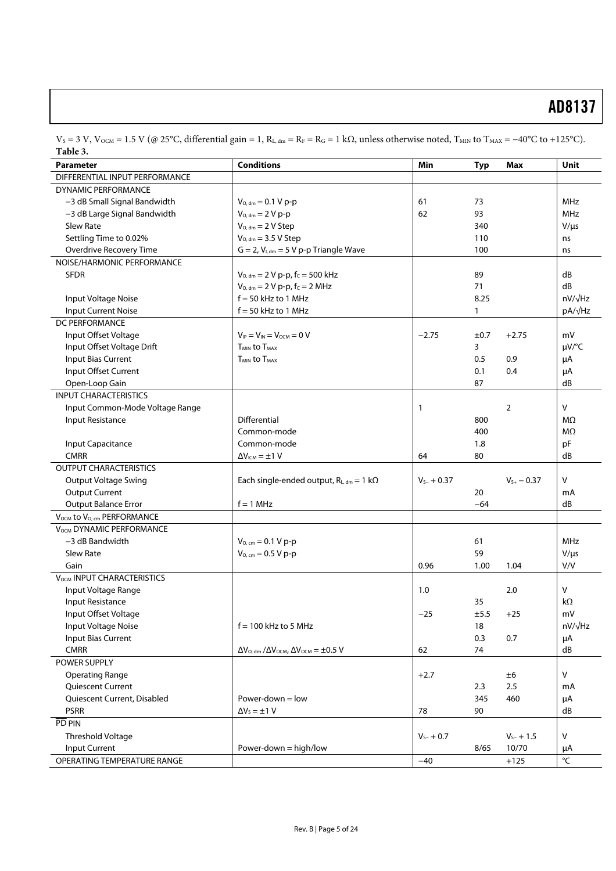| Table 3.                                           |                                                                      |                 |              |                 |                         |
|----------------------------------------------------|----------------------------------------------------------------------|-----------------|--------------|-----------------|-------------------------|
| <b>Parameter</b>                                   | <b>Conditions</b>                                                    | Min             | Typ          | Max             | <b>Unit</b>             |
| DIFFERENTIAL INPUT PERFORMANCE                     |                                                                      |                 |              |                 |                         |
| <b>DYNAMIC PERFORMANCE</b>                         |                                                                      |                 |              |                 |                         |
| -3 dB Small Signal Bandwidth                       | $V_{O, dm} = 0.1 V p-p$                                              | 61              | 73           |                 | <b>MHz</b>              |
| -3 dB Large Signal Bandwidth                       | $V_{O, dm} = 2 V p-p$                                                | 62              | 93           |                 | <b>MHz</b>              |
| Slew Rate                                          | $V_{O, dm} = 2 V$ Step                                               |                 | 340          |                 | $V/\mu s$               |
| Settling Time to 0.02%                             | $V_{O, dm} = 3.5 V$ Step                                             |                 | 110          |                 | ns                      |
| Overdrive Recovery Time                            | $G = 2$ , $V_{I, dm} = 5 V p-p$ Triangle Wave                        |                 | 100          |                 | ns                      |
| NOISE/HARMONIC PERFORMANCE                         |                                                                      |                 |              |                 |                         |
| <b>SFDR</b>                                        | $V_{O, dm} = 2 V p-p$ , fc = 500 kHz                                 |                 | 89           |                 | dB                      |
|                                                    | $V_{O, dm} = 2 V p-p, f_C = 2 MHz$                                   |                 | 71           |                 | dB                      |
| Input Voltage Noise                                | $f = 50$ kHz to 1 MHz                                                |                 | 8.25         |                 | $nV/\sqrt{Hz}$          |
| <b>Input Current Noise</b>                         | $f = 50$ kHz to 1 MHz                                                |                 | $\mathbf{1}$ |                 | pA/√Hz                  |
| DC PERFORMANCE                                     |                                                                      |                 |              |                 |                         |
| Input Offset Voltage                               | $V_{IP} = V_{IN} = V_{OCM} = 0 V$                                    | $-2.75$         | ±0.7         | $+2.75$         | mV                      |
| Input Offset Voltage Drift                         | T <sub>MIN</sub> to T <sub>MAX</sub>                                 |                 | 3            |                 | µV/°C                   |
| Input Bias Current                                 | <b>TMIN to TMAX</b>                                                  |                 | 0.5          | 0.9             |                         |
| Input Offset Current                               |                                                                      |                 |              | 0.4             | μA                      |
|                                                    |                                                                      |                 | 0.1          |                 | μA                      |
| Open-Loop Gain<br><b>INPUT CHARACTERISTICS</b>     |                                                                      |                 | 87           |                 | dB                      |
|                                                    |                                                                      |                 |              |                 |                         |
| Input Common-Mode Voltage Range                    |                                                                      | $\mathbf{1}$    |              | $\overline{2}$  | v                       |
| Input Resistance                                   | Differential                                                         |                 | 800          |                 | MΩ                      |
|                                                    | Common-mode                                                          |                 | 400          |                 | MΩ                      |
| Input Capacitance                                  | Common-mode                                                          |                 | 1.8          |                 | pF                      |
| <b>CMRR</b>                                        | $\Delta V_{ICM} = \pm 1 V$                                           | 64              | 80           |                 | dB                      |
| <b>OUTPUT CHARACTERISTICS</b>                      |                                                                      |                 |              |                 |                         |
| <b>Output Voltage Swing</b>                        | Each single-ended output, $R_{L, dm} = 1 k\Omega$                    | $V_{s-} + 0.37$ |              | $V_{S+}$ – 0.37 | v                       |
| <b>Output Current</b>                              |                                                                      |                 | 20           |                 | mA                      |
| <b>Output Balance Error</b>                        | $f = 1$ MHz                                                          |                 | $-64$        |                 | dB                      |
| V <sub>OCM</sub> to V <sub>O. cm</sub> PERFORMANCE |                                                                      |                 |              |                 |                         |
| <b>VOCM DYNAMIC PERFORMANCE</b>                    |                                                                      |                 |              |                 |                         |
| -3 dB Bandwidth                                    | $V_{O, cm} = 0.1 V p-p$                                              |                 | 61           |                 | MHz                     |
| Slew Rate                                          | $V_{O, cm} = 0.5 V p-p$                                              |                 | 59           |                 | $V/\mu s$               |
| Gain                                               |                                                                      | 0.96            | 1.00         | 1.04            | V/V                     |
| V <sub>OCM</sub> INPUT CHARACTERISTICS             |                                                                      |                 |              |                 |                         |
| Input Voltage Range                                |                                                                      | 1.0             |              | 2.0             | v                       |
| Input Resistance                                   |                                                                      |                 | 35           |                 | $k\Omega$               |
| Input Offset Voltage                               |                                                                      | $-25$           | ±5.5         | $+25$           | mV                      |
| Input Voltage Noise                                | $f = 100$ kHz to 5 MHz                                               |                 | 18           |                 | nV/√Hz                  |
| <b>Input Bias Current</b>                          |                                                                      |                 | 0.3          | 0.7             | μA                      |
| <b>CMRR</b>                                        | $\Delta V_{O, dm}$ / $\Delta V_{OCM}$ , $\Delta V_{OCM} = \pm 0.5$ V | 62              | 74           |                 | dB                      |
| POWER SUPPLY                                       |                                                                      |                 |              |                 |                         |
| <b>Operating Range</b>                             |                                                                      | $+2.7$          |              | ±6              | V                       |
| Quiescent Current                                  |                                                                      |                 | 2.3          | 2.5             | mA                      |
| Quiescent Current, Disabled                        | Power-down $=$ low                                                   |                 | 345          | 460             | μA                      |
| <b>PSRR</b>                                        | $\Delta V_5 = \pm 1$ V                                               | 78              | 90           |                 | dB                      |
| PD PIN                                             |                                                                      |                 |              |                 |                         |
|                                                    |                                                                      |                 |              |                 | V                       |
| <b>Threshold Voltage</b><br>Input Current          |                                                                      | $V_{s-} + 0.7$  |              | $V_{s-} + 1.5$  |                         |
|                                                    | Power-down = high/low                                                |                 | 8/65         | 10/70           | μA                      |
| OPERATING TEMPERATURE RANGE                        |                                                                      | $-40$           |              | $+125$          | $^{\circ}\!{\mathsf C}$ |

 $V_S = 3$  V, V<sub>OCM</sub> = 1.5 V (@ 25°C, differential gain = 1, R<sub>L, dm</sub> = R<sub>F</sub> = R<sub>G</sub> = 1 kΩ, unless otherwise noted, T<sub>MIN</sub> to T<sub>MAX</sub> = −40°C to +125°C). **Table 3.**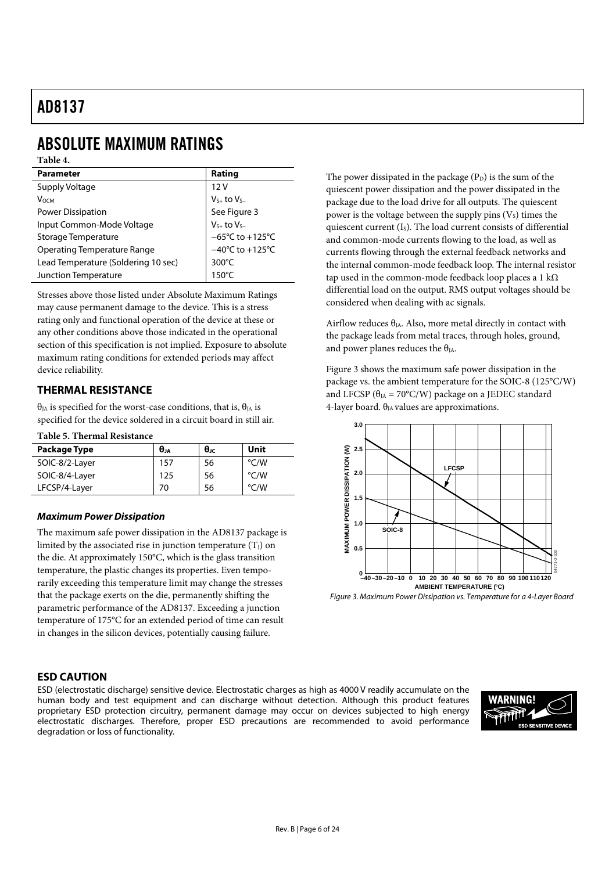# ABSOLUTE MAXIMUM RATINGS

### **Table 4.**

| <b>Parameter</b>                    | Rating                               |  |  |
|-------------------------------------|--------------------------------------|--|--|
| Supply Voltage                      | 12V                                  |  |  |
| <b>V</b> осм                        | $V_{S+}$ to $V_{S-}$                 |  |  |
| Power Dissipation                   | See Figure 3                         |  |  |
| Input Common-Mode Voltage           | $V_{S+}$ to $V_{S-}$                 |  |  |
| Storage Temperature                 | $-65^{\circ}$ C to +125 $^{\circ}$ C |  |  |
| <b>Operating Temperature Range</b>  | $-40^{\circ}$ C to $+125^{\circ}$ C  |  |  |
| Lead Temperature (Soldering 10 sec) | $300^{\circ}$ C                      |  |  |
| Junction Temperature                | $150^{\circ}$ C                      |  |  |

Stresses above those listed under Absolute Maximum Ratings may cause permanent damage to the device. This is a stress rating only and functional operation of the device at these or any other conditions above those indicated in the operational section of this specification is not implied. Exposure to absolute maximum rating conditions for extended periods may affect device reliability.

### **THERMAL RESISTANCE**

 $θ<sub>IA</sub>$  is specified for the worst-case conditions, that is,  $θ<sub>IA</sub>$  is specified for the device soldered in a circuit board in still air.

**Table 5. Thermal Resistance** 

| Package Type   | θJA | $\theta_{\rm JC}$ | Unit          |
|----------------|-----|-------------------|---------------|
| SOIC-8/2-Layer | 157 | 56                | °C/W          |
| SOIC-8/4-Layer | 125 | 56                | °C/W          |
| LFCSP/4-Layer  | 70  | 56                | $\degree$ C/W |

### *Maximum Power Dissipation*

The maximum safe power dissipation in the AD8137 package is limited by the associated rise in junction temperature  $(T_J)$  on the die. At approximately 150°C, which is the glass transition temperature, the plastic changes its properties. Even temporarily exceeding this temperature limit may change the stresses that the package exerts on the die, permanently shifting the parametric performance of the AD8137. Exceeding a junction temperature of 175°C for an extended period of time can result in changes in the silicon devices, potentially causing failure.

### **ESD CAUTION**

ESD (electrostatic discharge) sensitive device. Electrostatic charges as high as 4000 V readily accumulate on the human body and test equipment and can discharge without detection. Although this product features proprietary ESD protection circuitry, permanent damage may occur on devices subjected to high energy electrostatic discharges. Therefore, proper ESD precautions are recommended to avoid performance degradation or loss of functionality.



The power dissipated in the package  $(P_D)$  is the sum of the quiescent power dissipation and the power dissipated in the package due to the load drive for all outputs. The quiescent power is the voltage between the supply pins  $(V<sub>s</sub>)$  times the quiescent current  $(I<sub>s</sub>)$ . The load current consists of differential and common-mode currents flowing to the load, as well as currents flowing through the external feedback networks and the internal common-mode feedback loop. The internal resistor tap used in the common-mode feedback loop places a 1 k $\Omega$ differential load on the output. RMS output voltages should be considered when dealing with ac signals.

Airflow reduces  $\theta_{JA}$ . Also, more metal directly in contact with the package leads from metal traces, through holes, ground, and power planes reduces the  $\theta_{IA}$ .

Figure 3 shows the maximum safe power dissipation in the package vs. the ambient temperature for the SOIC-8 (125°C/W) and LFCSP ( $\theta_{IA} = 70^{\circ}$ C/W) package on a JEDEC standard 4-layer board.  $\theta_{JA}$  values are approximations.



Figure 3. Maximum Power Dissipation vs. Temperature for a 4-Layer Board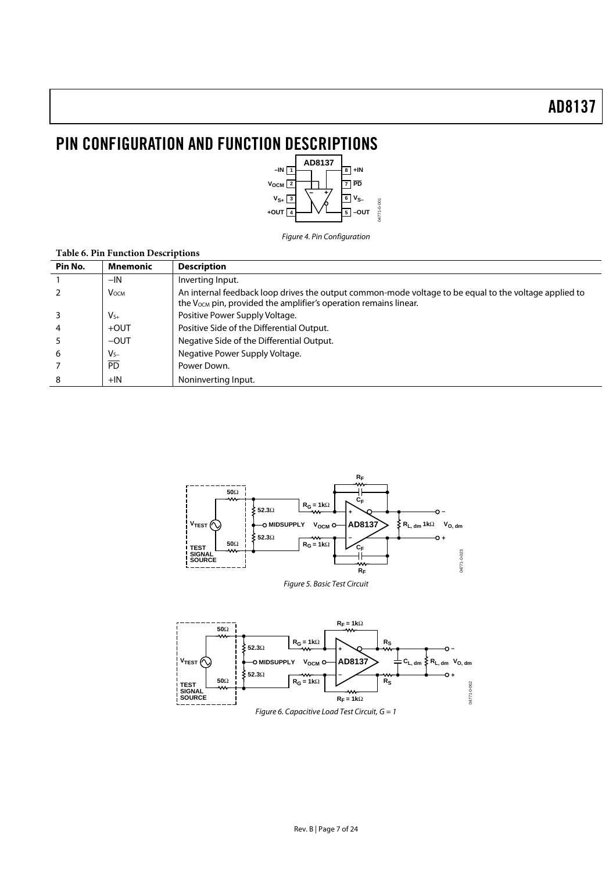# PIN CONFIGURATION AND FUNCTION DESCRIPTIONS



Figure 4. Pin Configuration

| <b>Table 6. Pin Function Descriptions</b> |                 |                                                                                                                                                                                       |  |  |
|-------------------------------------------|-----------------|---------------------------------------------------------------------------------------------------------------------------------------------------------------------------------------|--|--|
| Pin No.                                   | Mnemonic        | <b>Description</b>                                                                                                                                                                    |  |  |
|                                           | $-IN$           | Inverting Input.                                                                                                                                                                      |  |  |
|                                           | <b>V</b> осм    | An internal feedback loop drives the output common-mode voltage to be equal to the voltage applied to<br>the V <sub>OCM</sub> pin, provided the amplifier's operation remains linear. |  |  |
|                                           | $V_{S+}$        | Positive Power Supply Voltage.                                                                                                                                                        |  |  |
|                                           | $+$ OUT         | Positive Side of the Differential Output.                                                                                                                                             |  |  |
|                                           | $-$ OUT         | Negative Side of the Differential Output.                                                                                                                                             |  |  |
| 6                                         | $V_{S-}$        | Negative Power Supply Voltage.                                                                                                                                                        |  |  |
|                                           | $\overline{PD}$ | Power Down.                                                                                                                                                                           |  |  |
| 8                                         | $+IN$           | Noninverting Input.                                                                                                                                                                   |  |  |



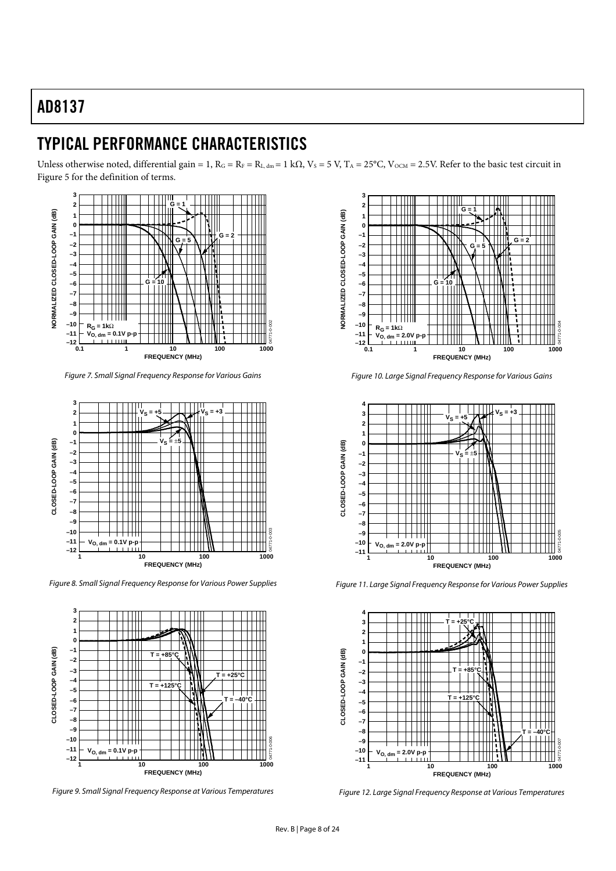### TYPICAL PERFORMANCE CHARACTERISTICS

Unless otherwise noted, differential gain = 1,  $R_G = R_F = R_{L, dm} = 1$  kΩ,  $V_S = 5$  V,  $T_A = 25$ °C,  $V_{OCM} = 2.5$ V. Refer to the basic test circuit in Figure 5 for the definition of terms.



Figure 7. Small Signal Frequency Response for Various Gains



Figure 8. Small Signal Frequency Response for Various Power Supplies



Figure 9. Small Signal Frequency Response at Various Temperatures



Figure 10. Large Signal Frequency Response for Various Gains



Figure 11. Large Signal Frequency Response for Various Power Supplies



Figure 12. Large Signal Frequency Response at Various Temperatures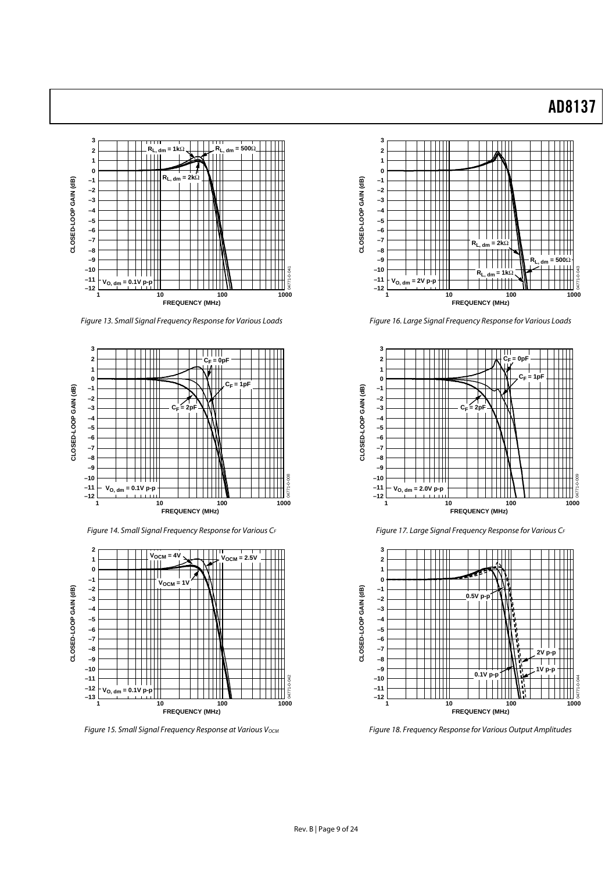

Figure 13. Small Signal Frequency Response for Various Loads



Figure 14. Small Signal Frequency Response for Various CF



Figure 15. Small Signal Frequency Response at Various V<sub>ОСМ</sub>



Figure 16. Large Signal Frequency Response for Various Loads



Figure 17. Large Signal Frequency Response for Various CF



Figure 18. Frequency Response for Various Output Amplitudes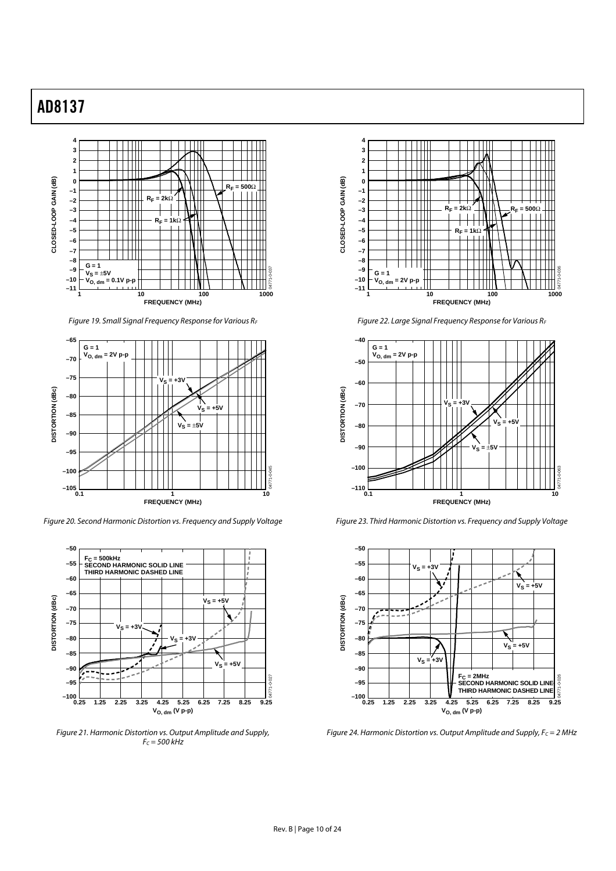

Figure 19. Small Signal Frequency Response for Various RF



Figure 20. Second Harmonic Distortion vs. Frequency and Supply Voltage



Figure 21. Harmonic Distortion vs. Output Amplitude and Supply,  $F_c = 500$  kHz



Figure 22. Large Signal Frequency Response for Various RF



Figure 23. Third Harmonic Distortion vs. Frequency and Supply Voltage



Figure 24. Harmonic Distortion vs. Output Amplitude and Supply,  $F_C = 2$  MHz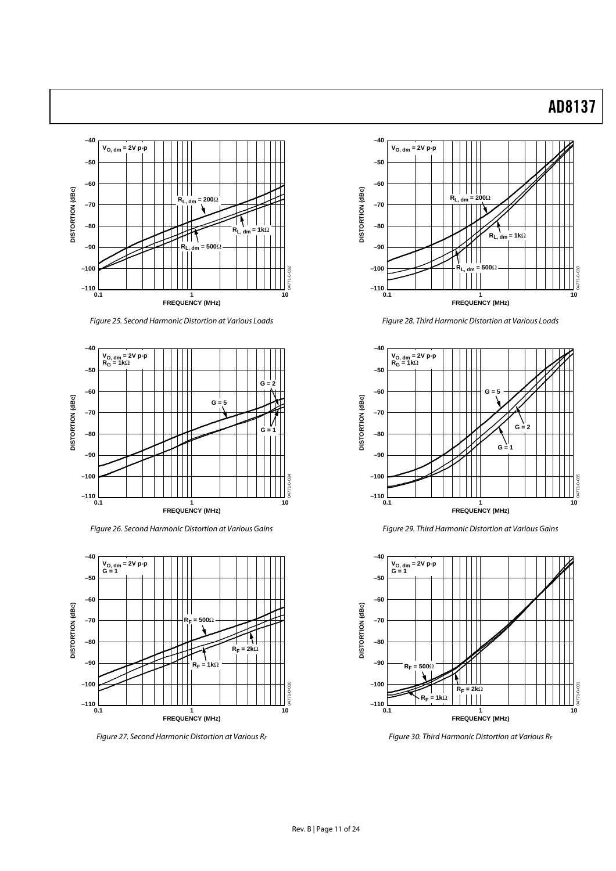

Figure 25. Second Harmonic Distortion at Various Loads



Figure 26. Second Harmonic Distortion at Various Gains



Figure 27. Second Harmonic Distortion at Various RF



Figure 28. Third Harmonic Distortion at Various Loads



Figure 29. Third Harmonic Distortion at Various Gains



Figure 30. Third Harmonic Distortion at Various RF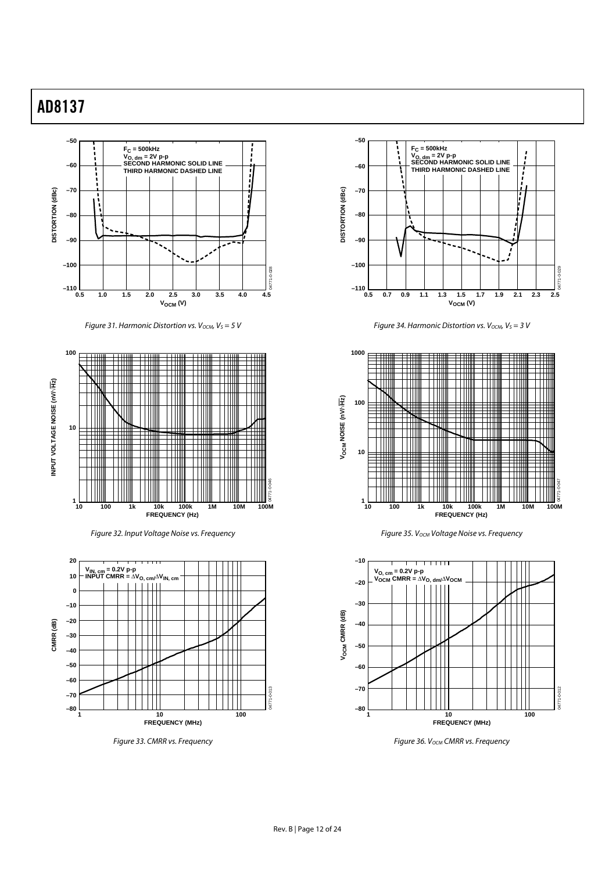

Figure 31. Harmonic Distortion vs.  $V_{OCM}$ ,  $V_S = 5$  V



Figure 32. Input Voltage Noise vs. Frequency



Figure 33. CMRR vs. Frequency



Figure 34. Harmonic Distortion vs.  $V_{OCM}$ ,  $V_S = 3 V$ 



Figure 35. V<sub>OCM</sub> Voltage Noise vs. Frequency



Figure 36. V<sub>OCM</sub> CMRR vs. Frequency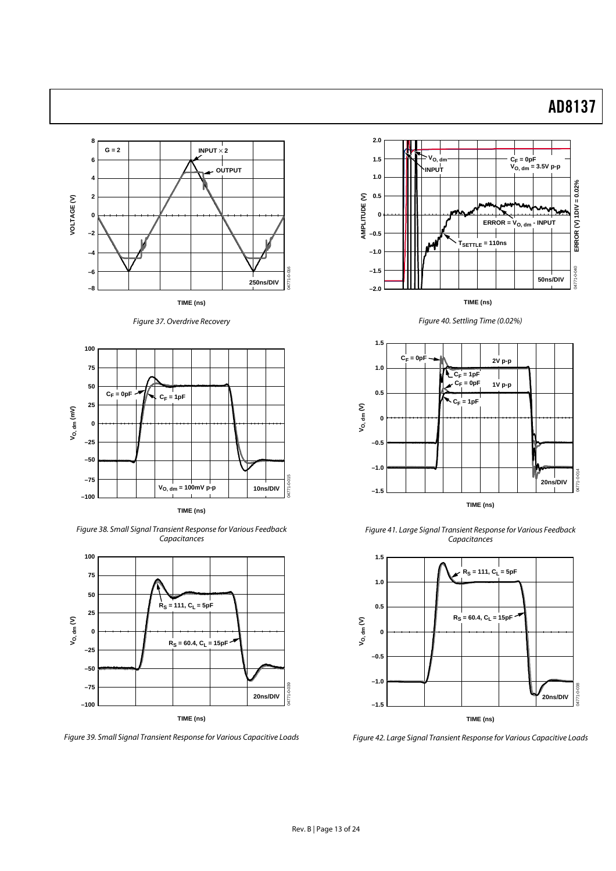

Figure 37. Overdrive Recovery



Figure 38. Small Signal Transient Response for Various Feedback **Capacitances** 



Figure 39. Small Signal Transient Response for Various Capacitive Loads



Figure 40. Settling Time (0.02%)



Figure 41. Large Signal Transient Response for Various Feedback **Capacitances** 



Figure 42. Large Signal Transient Response for Various Capacitive Loads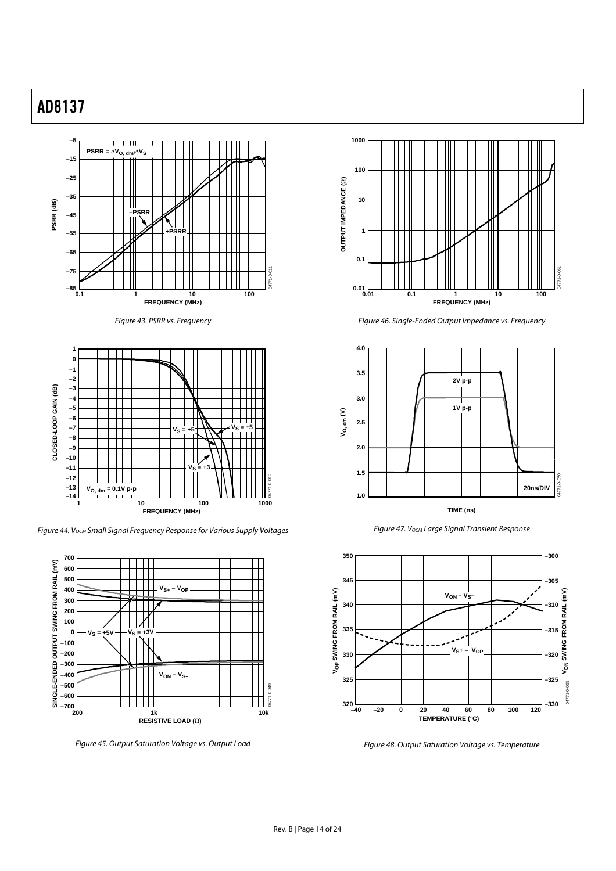

Figure 43. PSRR vs. Frequency



Figure 44. V<sub>OCM</sub> Small Signal Frequency Response for Various Supply Voltages



Figure 45. Output Saturation Voltage vs. Output Load



Figure 46. Single-Ended Output Impedance vs. Frequency



Figure 47. V<sub>OCM</sub> Large Signal Transient Response



Figure 48. Output Saturation Voltage vs. Temperature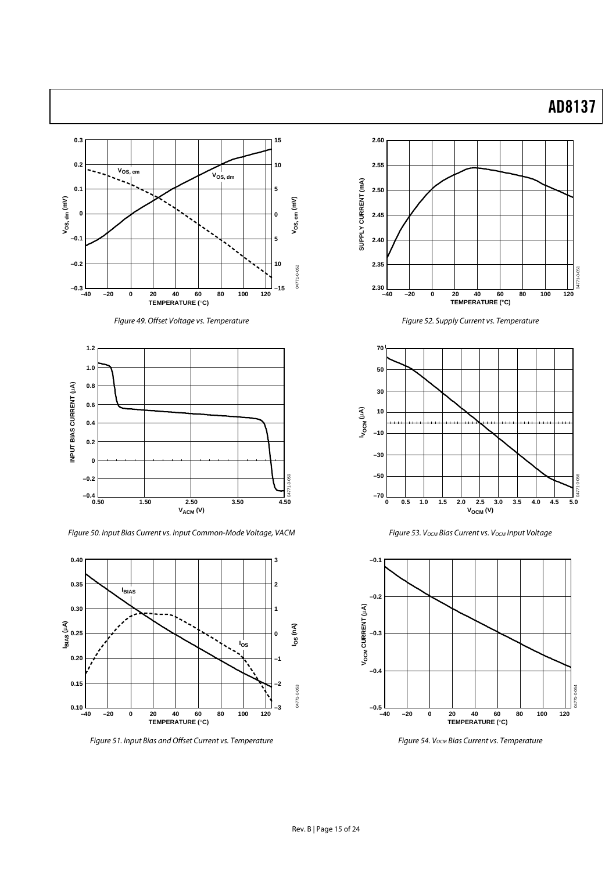





Figure 50. Input Bias Current vs. Input Common-Mode Voltage, VACM



Figure 51. Input Bias and Offset Current vs. Temperature



Figure 52. Supply Current vs. Temperature



Figure 53. V<sub>OCM</sub> Bias Current vs. V<sub>OCM</sub> Input Voltage



Figure 54. V<sub>OCM</sub> Bias Current vs. Temperature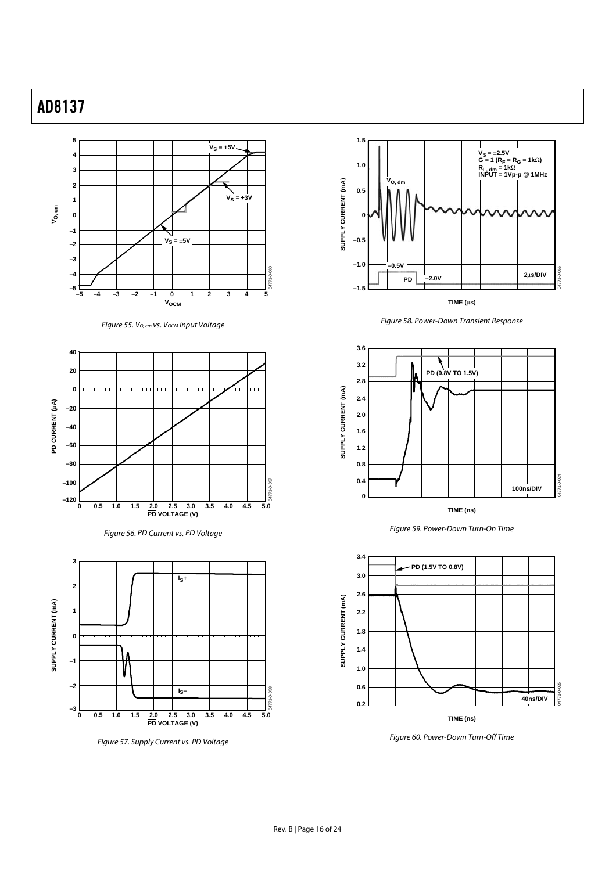

Figure 55. V<sub>O, cm</sub> vs. V<sub>OCM</sub> Input Voltage



Figure 56. PD Current vs. PD Voltage



Figure 57. Supply Current vs. PD Voltage



Figure 58. Power-Down Transient Response



Figure 59. Power-Down Turn-On Time



Figure 60. Power-Down Turn-Off Time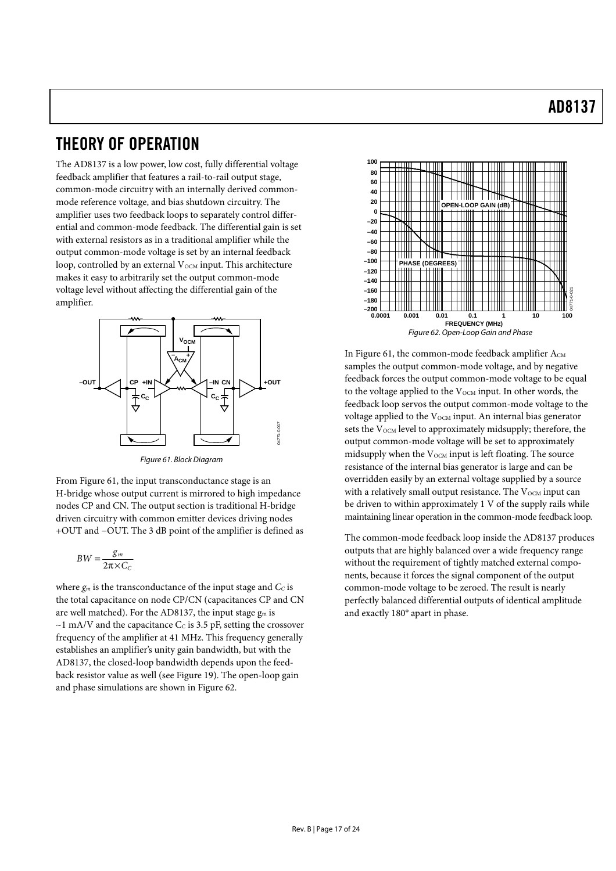### THEORY OF OPERATION

The AD8137 is a low power, low cost, fully differential voltage feedback amplifier that features a rail-to-rail output stage, common-mode circuitry with an internally derived commonmode reference voltage, and bias shutdown circuitry. The amplifier uses two feedback loops to separately control differential and common-mode feedback. The differential gain is set with external resistors as in a traditional amplifier while the output common-mode voltage is set by an internal feedback loop, controlled by an external V<sub>OCM</sub> input. This architecture makes it easy to arbitrarily set the output common-mode voltage level without affecting the differential gain of the amplifier.



Figure 61. Block Diagram

From Figure 61, the input transconductance stage is an H-bridge whose output current is mirrored to high impedance nodes CP and CN. The output section is traditional H-bridge driven circuitry with common emitter devices driving nodes +OUT and −OUT. The 3 dB point of the amplifier is defined as

$$
BW = \frac{g_m}{2\pi \times C_C}
$$

where  $g_m$  is the transconductance of the input stage and  $C_c$  is the total capacitance on node CP/CN (capacitances CP and CN are well matched). For the AD8137, the input stage  $g_m$  is  $\sim$ 1 mA/V and the capacitance C $c$  is 3.5 pF, setting the crossover frequency of the amplifier at 41 MHz. This frequency generally establishes an amplifier's unity gain bandwidth, but with the AD8137, the closed-loop bandwidth depends upon the feedback resistor value as well (see Figure 19). The open-loop gain and phase simulations are shown in Figure 62.



In Figure 61, the common-mode feedback amplifier  $A_{CM}$ samples the output common-mode voltage, and by negative feedback forces the output common-mode voltage to be equal to the voltage applied to the  $V_{\text{OCM}}$  input. In other words, the feedback loop servos the output common-mode voltage to the voltage applied to the V<sub>OCM</sub> input. An internal bias generator sets the  $V<sub>OCM</sub>$  level to approximately midsupply; therefore, the output common-mode voltage will be set to approximately midsupply when the  $V_{OCM}$  input is left floating. The source resistance of the internal bias generator is large and can be overridden easily by an external voltage supplied by a source with a relatively small output resistance. The  $V_{OCM}$  input can be driven to within approximately 1 V of the supply rails while maintaining linear operation in the common-mode feedback loop.

The common-mode feedback loop inside the AD8137 produces outputs that are highly balanced over a wide frequency range without the requirement of tightly matched external components, because it forces the signal component of the output common-mode voltage to be zeroed. The result is nearly perfectly balanced differential outputs of identical amplitude and exactly 180° apart in phase.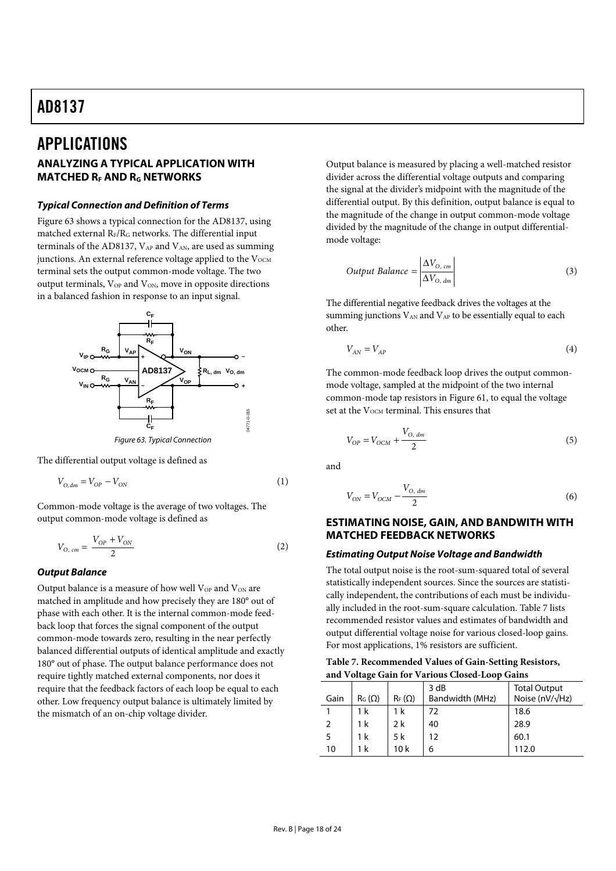### APPLICATIONS

### **ANALYZING A TYPICAL APPLICATION WITH MATCHED RE AND RG NETWORKS**

#### *Typical Connection and Definition of Terms*

Figure 63 shows a typical connection for the AD8137, using matched external  $R_F/R_G$  networks. The differential input terminals of the AD8137,  $V_{AP}$  and  $V_{AN}$ , are used as summing junctions. An external reference voltage applied to the  $V_{\text{OCM}}$ terminal sets the output common-mode voltage. The two output terminals,  $V_{OP}$  and  $V_{ON}$ , move in opposite directions in a balanced fashion in response to an input signal.



Figure 63. Typical Connection

The differential output voltage is defined as

$$
V_{O,dm} = V_{OP} - V_{ON} \tag{1}
$$

Common-mode voltage is the average of two voltages. The output common-mode voltage is defined as

$$
V_{O, cm} = \frac{V_{OP} + V_{ON}}{2}
$$
 (2)

### *Output Balance*

Output balance is a measure of how well  $V_{OP}$  and  $V_{ON}$  are matched in amplitude and how precisely they are 180° out of phase with each other. It is the internal common-mode feedback loop that forces the signal component of the output common-mode towards zero, resulting in the near perfectly balanced differential outputs of identical amplitude and exactly 180° out of phase. The output balance performance does not require tightly matched external components, nor does it require that the feedback factors of each loop be equal to each other. Low frequency output balance is ultimately limited by the mismatch of an on-chip voltage divider.

Output balance is measured by placing a well-matched resistor divider across the differential voltage outputs and comparing the signal at the divider's midpoint with the magnitude of the differential output. By this definition, output balance is equal to the magnitude of the change in output common-mode voltage divided by the magnitude of the change in output differentialmode voltage:

Output Balance = 
$$
\frac{\Delta V_{\text{O, cm}}}{\Delta V_{\text{O, dm}}}
$$
 (3)

The differential negative feedback drives the voltages at the summing junctions  $V_{AN}$  and  $V_{AP}$  to be essentially equal to each other.

$$
V_{AN} = V_{AP} \tag{4}
$$

The common-mode feedback loop drives the output commonmode voltage, sampled at the midpoint of the two internal common-mode tap resistors in Figure 61, to equal the voltage set at the V<sub>OCM</sub> terminal. This ensures that

$$
V_{OP} = V_{OCM} + \frac{V_{O, dm}}{2}
$$
 (5)

and

$$
V_{ON} = V_{OCM} - \frac{V_{O, dm}}{2}
$$
 (6)

### **ESTIMATING NOISE, GAIN, AND BANDWITH WITH MATCHED FEEDBACK NETWORKS**

#### *Estimating Output Noise Voltage and Bandwidth*

The total output noise is the root-sum-squared total of several statistically independent sources. Since the sources are statistically independent, the contributions of each must be individually included in the root-sum-square calculation. Table 7 lists recommended resistor values and estimates of bandwidth and output differential voltage noise for various closed-loop gains. For most applications, 1% resistors are sufficient.

| Table 7. Recommended Values of Gain-Setting Resistors, |
|--------------------------------------------------------|
| and Voltage Gain for Various Closed-Loop Gains         |

| $\cdot$ |               |               |                         |                                                 |
|---------|---------------|---------------|-------------------------|-------------------------------------------------|
| Gain    | $R_G(\Omega)$ | $R_F(\Omega)$ | 3 dB<br>Bandwidth (MHz) | <b>Total Output</b><br>Noise (nV/ $\sqrt{Hz}$ ) |
|         |               |               |                         |                                                 |
|         | 1 k           | 1 k           | 72                      | 18.6                                            |
|         | 1 k           | 2 k           | 40                      | 28.9                                            |
| 5       | 1 k           | 5 k           | 12                      | 60.1                                            |
| 10      | 1 k           | 10 k          | 6                       | 112.0                                           |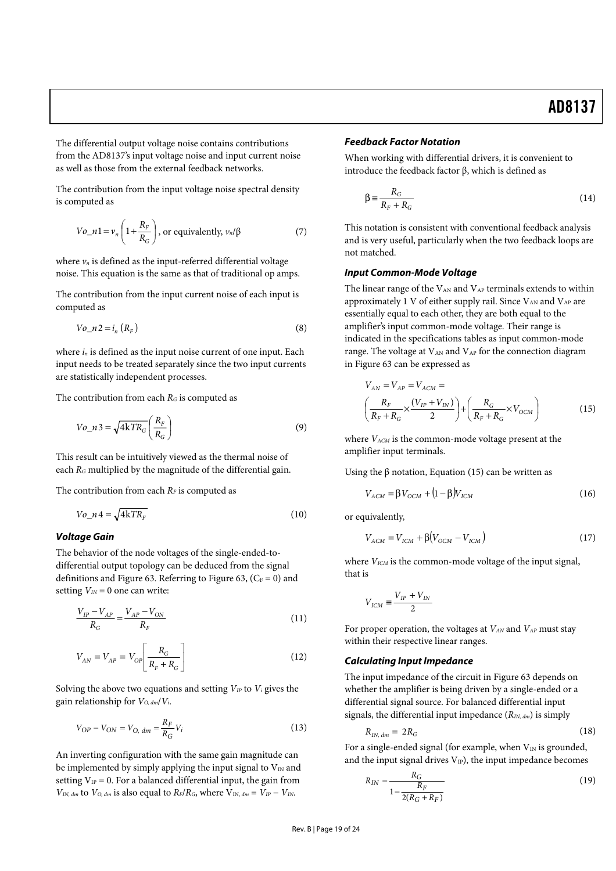The differential output voltage noise contains contributions from the AD8137's input voltage noise and input current noise as well as those from the external feedback networks.

The contribution from the input voltage noise spectral density is computed as

$$
Vo_n = v_n \left( 1 + \frac{R_F}{R_G} \right), \text{ or equivalently, } v_n / \beta \tag{7}
$$

where  $v_n$  is defined as the input-referred differential voltage noise. This equation is the same as that of traditional op amps.

The contribution from the input current noise of each input is computed as

$$
Vo_n 2 = i_n (R_F) \tag{8}
$$

where  $i_n$  is defined as the input noise current of one input. Each input needs to be treated separately since the two input currents are statistically independent processes.

The contribution from each  $R_G$  is computed as

$$
Vo\_n3 = \sqrt{4kTR_G} \left(\frac{R_F}{R_G}\right) \tag{9}
$$

This result can be intuitively viewed as the thermal noise of each  $R_G$  multiplied by the magnitude of the differential gain.

The contribution from each  $R_F$  is computed as

$$
Vo\_n4 = \sqrt{4kTR_F} \tag{10}
$$

### *Voltage Gain*

The behavior of the node voltages of the single-ended-todifferential output topology can be deduced from the signal definitions and Figure 63. Referring to Figure 63,  $(C_F = 0)$  and setting  $V_{IN} = 0$  one can write:

$$
\frac{V_{IP} - V_{AP}}{R_G} = \frac{V_{AP} - V_{ON}}{R_F}
$$
 (11)

$$
V_{AN} = V_{AP} = V_{OP} \left[ \frac{R_G}{R_F + R_G} \right]
$$
 (12)

Solving the above two equations and setting  $V_{IP}$  to  $V_i$  gives the gain relationship for  $V_{O, dm}/V_i$ .

$$
V_{OP} - V_{ON} = V_{O, dm} = \frac{R_F}{R_G} V_i
$$
 (13)

An inverting configuration with the same gain magnitude can be implemented by simply applying the input signal to  $V_{IN}$  and setting  $V_{IP} = 0$ . For a balanced differential input, the gain from  $V_{IN, dm}$  to  $V_{O, dm}$  is also equal to  $R_F/R_G$ , where  $V_{IN, dm} = V_{IP} - V_{IN}$ .

### *Feedback Factor Notation*

When working with differential drivers, it is convenient to introduce the feedback factor β, which is defined as

$$
\beta \equiv \frac{R_G}{R_F + R_G} \tag{14}
$$

This notation is consistent with conventional feedback analysis and is very useful, particularly when the two feedback loops are not matched.

#### *Input Common-Mode Voltage*

The linear range of the  $V_{AN}$  and  $V_{AP}$  terminals extends to within approximately 1 V of either supply rail. Since  $V_{AN}$  and  $V_{AP}$  are essentially equal to each other, they are both equal to the amplifier's input common-mode voltage. Their range is indicated in the specifications tables as input common-mode range. The voltage at  $V_{AN}$  and  $V_{AP}$  for the connection diagram in Figure 63 can be expressed as

$$
V_{AN} = V_{AP} = V_{ACM} =
$$
\n
$$
\left(\frac{R_F}{R_F + R_G} \times \frac{(V_{IP} + V_{IN})}{2}\right) + \left(\frac{R_G}{R_F + R_G} \times V_{OCM}\right)
$$
\n(15)

where  $V_{ACM}$  is the common-mode voltage present at the amplifier input terminals.

Using the  $\beta$  notation, Equation (15) can be written as

$$
V_{ACM} = \beta V_{OCM} + (1 - \beta)V_{ICM}
$$
 (16)

or equivalently,

$$
V_{ACM} = V_{ICM} + \beta (V_{OCM} - V_{ICM})
$$
\n(17)

where  $V_{ICM}$  is the common-mode voltage of the input signal, that is

$$
V_{ICM} \equiv \frac{V_{IP} + V_{IN}}{2}
$$

For proper operation, the voltages at  $V_{AN}$  and  $V_{AP}$  must stay within their respective linear ranges.

#### *Calculating Input Impedance*

The input impedance of the circuit in Figure 63 depends on whether the amplifier is being driven by a single-ended or a differential signal source. For balanced differential input signals, the differential input impedance  $(R_{IN, dm})$  is simply

$$
R_{IN, dm} = 2R_G \tag{18}
$$

For a single-ended signal (for example, when  $V_{IN}$  is grounded, and the input signal drives  $V_{IP}$ ), the input impedance becomes

$$
R_{IN} = \frac{R_G}{1 - \frac{R_F}{2(R_G + R_F)}}
$$
(19)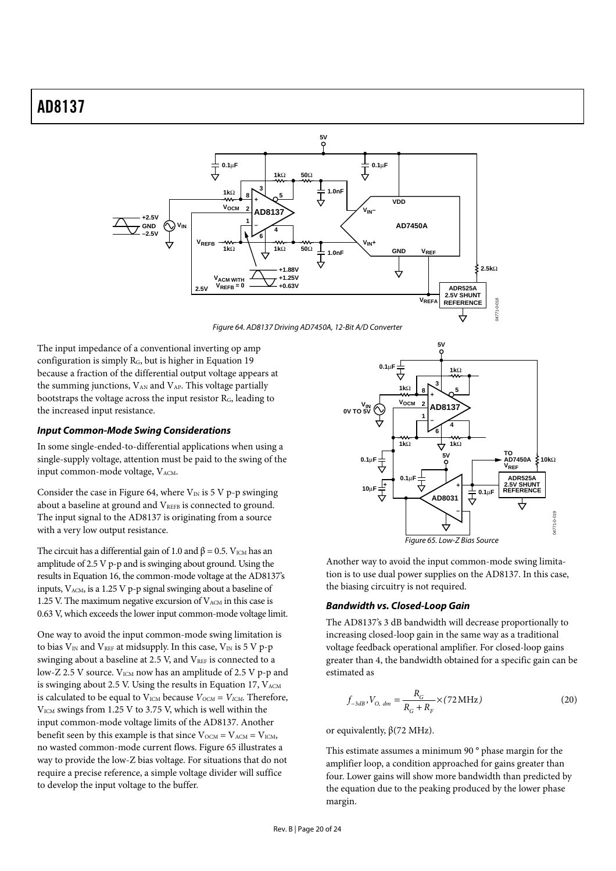

Figure 64. AD8137 Driving AD7450A, 12-Bit A/D Converter

The input impedance of a conventional inverting op amp configuration is simply  $R_G$ , but is higher in Equation 19 because a fraction of the differential output voltage appears at the summing junctions,  $V_{AN}$  and  $V_{AP}$ . This voltage partially bootstraps the voltage across the input resistor RG, leading to the increased input resistance.

#### *Input Common-Mode Swing Considerations*

In some single-ended-to-differential applications when using a single-supply voltage, attention must be paid to the swing of the input common-mode voltage,  $V<sub>ACM</sub>$ .

Consider the case in Figure 64, where  $V_{IN}$  is 5 V p-p swinging about a baseline at ground and V<sub>REFB</sub> is connected to ground. The input signal to the AD8137 is originating from a source with a very low output resistance.

The circuit has a differential gain of 1.0 and  $\beta$  = 0.5. V<sub>ICM</sub> has an amplitude of 2.5 V p-p and is swinging about ground. Using the results in Equation 16, the common-mode voltage at the AD8137's inputs,  $V_{ACM}$ , is a 1.25 V p-p signal swinging about a baseline of 1.25 V. The maximum negative excursion of  $V_{ACM}$  in this case is 0.63 V, which exceeds the lower input common-mode voltage limit.

One way to avoid the input common-mode swing limitation is to bias  $V_{IN}$  and  $V_{REF}$  at midsupply. In this case,  $V_{IN}$  is 5 V p-p swinging about a baseline at 2.5 V, and VREF is connected to a low-Z 2.5 V source. V<sub>ICM</sub> now has an amplitude of 2.5 V p-p and is swinging about 2.5 V. Using the results in Equation 17,  $V_{ACM}$ is calculated to be equal to  $V_{ICM}$  because  $V_{OCM} = V_{ICM}$ . Therefore, VICM swings from 1.25 V to 3.75 V, which is well within the input common-mode voltage limits of the AD8137. Another benefit seen by this example is that since  $V_{\text{OCM}} = V_{\text{ACM}} = V_{\text{ICM}}$ , no wasted common-mode current flows. Figure 65 illustrates a way to provide the low-Z bias voltage. For situations that do not require a precise reference, a simple voltage divider will suffice to develop the input voltage to the buffer.



Another way to avoid the input common-mode swing limitation is to use dual power supplies on the AD8137. In this case, the biasing circuitry is not required.

#### *Bandwidth vs. Closed-Loop Gain*

The AD8137's 3 dB bandwidth will decrease proportionally to increasing closed-loop gain in the same way as a traditional voltage feedback operational amplifier. For closed-loop gains greater than 4, the bandwidth obtained for a specific gain can be estimated as

$$
f_{-3dB}, V_{O, dm} = \frac{R_G}{R_G + R_F} \times (72 \,\text{MHz}) \tag{20}
$$

or equivalently, β(72 MHz).

This estimate assumes a minimum 90 ° phase margin for the amplifier loop, a condition approached for gains greater than four. Lower gains will show more bandwidth than predicted by the equation due to the peaking produced by the lower phase margin.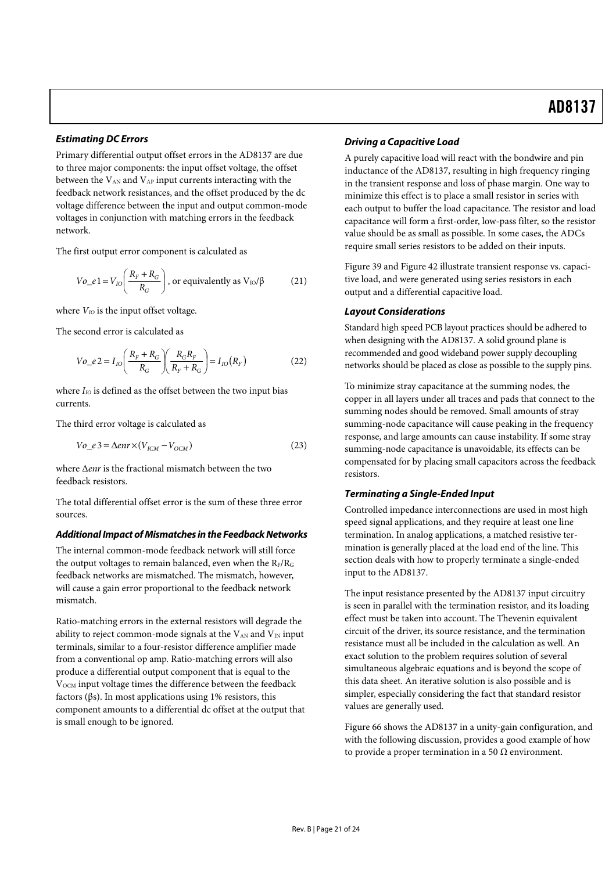### *Estimating DC Errors*

Primary differential output offset errors in the AD8137 are due to three major components: the input offset voltage, the offset between the  $V_{AN}$  and  $V_{AP}$  input currents interacting with the feedback network resistances, and the offset produced by the dc voltage difference between the input and output common-mode voltages in conjunction with matching errors in the feedback network.

The first output error component is calculated as

$$
Vo_e = V_{IO} \left( \frac{R_F + R_G}{R_G} \right)
$$
, or equivalently as  $V_{IO} / \beta$  (21)

where  $V_{IO}$  is the input offset voltage.

The second error is calculated as

$$
Vo_{-}e2 = I_{IO}\left(\frac{R_{F} + R_{G}}{R_{G}}\right)\left(\frac{R_{G}R_{F}}{R_{F} + R_{G}}\right) = I_{IO}(R_{F})
$$
\n(22)

where  $I_{IO}$  is defined as the offset between the two input bias currents.

The third error voltage is calculated as

$$
Vo_e = \Delta env \times (V_{ICM} - V_{OCM})
$$
\n(23)

where Δenr is the fractional mismatch between the two feedback resistors.

The total differential offset error is the sum of these three error sources.

### *Additional Impact of Mismatches in the Feedback Networks*

The internal common-mode feedback network will still force the output voltages to remain balanced, even when the  $R_F/R_G$ feedback networks are mismatched. The mismatch, however, will cause a gain error proportional to the feedback network mismatch.

Ratio-matching errors in the external resistors will degrade the ability to reject common-mode signals at the  $V_{AN}$  and  $V_{IN}$  input terminals, similar to a four-resistor difference amplifier made from a conventional op amp. Ratio-matching errors will also produce a differential output component that is equal to the V<sub>OCM</sub> input voltage times the difference between the feedback factors (βs). In most applications using 1% resistors, this component amounts to a differential dc offset at the output that is small enough to be ignored.

### *Driving a Capacitive Load*

A purely capacitive load will react with the bondwire and pin inductance of the AD8137, resulting in high frequency ringing in the transient response and loss of phase margin. One way to minimize this effect is to place a small resistor in series with each output to buffer the load capacitance. The resistor and load capacitance will form a first-order, low-pass filter, so the resistor value should be as small as possible. In some cases, the ADCs require small series resistors to be added on their inputs.

Figure 39 and Figure 42 illustrate transient response vs. capacitive load, and were generated using series resistors in each output and a differential capacitive load.

### *Layout Considerations*

Standard high speed PCB layout practices should be adhered to when designing with the AD8137. A solid ground plane is recommended and good wideband power supply decoupling networks should be placed as close as possible to the supply pins.

To minimize stray capacitance at the summing nodes, the copper in all layers under all traces and pads that connect to the summing nodes should be removed. Small amounts of stray summing-node capacitance will cause peaking in the frequency response, and large amounts can cause instability. If some stray summing-node capacitance is unavoidable, its effects can be compensated for by placing small capacitors across the feedback resistors.

### *Terminating a Single-Ended Input*

Controlled impedance interconnections are used in most high speed signal applications, and they require at least one line termination. In analog applications, a matched resistive termination is generally placed at the load end of the line. This section deals with how to properly terminate a single-ended input to the AD8137.

The input resistance presented by the AD8137 input circuitry is seen in parallel with the termination resistor, and its loading effect must be taken into account. The Thevenin equivalent circuit of the driver, its source resistance, and the termination resistance must all be included in the calculation as well. An exact solution to the problem requires solution of several simultaneous algebraic equations and is beyond the scope of this data sheet. An iterative solution is also possible and is simpler, especially considering the fact that standard resistor values are generally used.

Figure 66 shows the AD8137 in a unity-gain configuration, and with the following discussion, provides a good example of how to provide a proper termination in a 50  $Ω$  environment.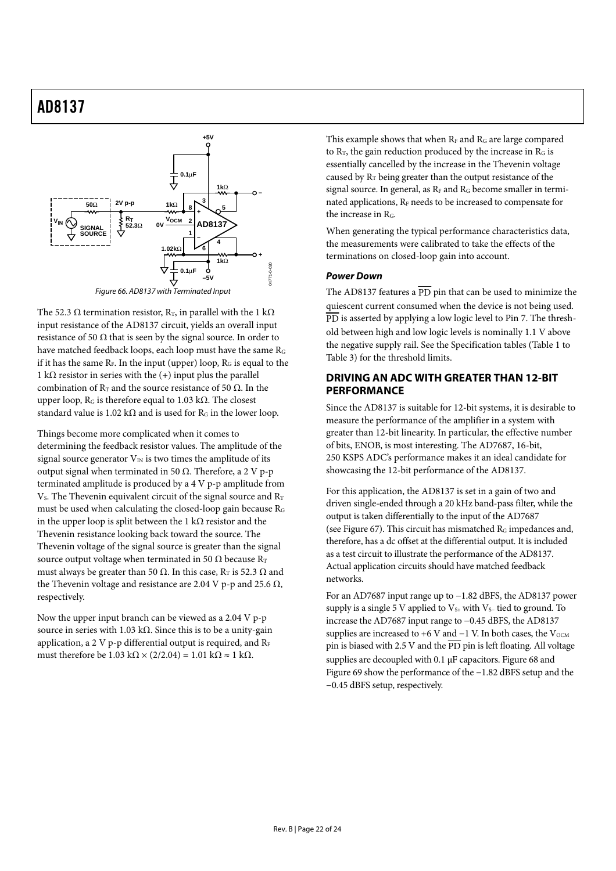

The 52.3  $\Omega$  termination resistor, R<sub>T</sub>, in parallel with the 1 k $\Omega$ input resistance of the AD8137 circuit, yields an overall input resistance of 50  $\Omega$  that is seen by the signal source. In order to have matched feedback loops, each loop must have the same RG if it has the same  $R_F$ . In the input (upper) loop,  $R_G$  is equal to the 1 kΩ resistor in series with the  $(+)$  input plus the parallel combination of  $\mathrm{R}_\mathrm{T}$  and the source resistance of 50  $\Omega$ . In the upper loop,  $R_G$  is therefore equal to 1.03 k $\Omega$ . The closest standard value is 1.02 k $\Omega$  and is used for R<sub>G</sub> in the lower loop.

Things become more complicated when it comes to determining the feedback resistor values. The amplitude of the signal source generator  $V_{IN}$  is two times the amplitude of its output signal when terminated in 50 Ω. Therefore, a 2 V p-p terminated amplitude is produced by a 4 V p-p amplitude from  $V_s$ . The Thevenin equivalent circuit of the signal source and  $R_T$ must be used when calculating the closed-loop gain because RG in the upper loop is split between the 1 k $\Omega$  resistor and the Thevenin resistance looking back toward the source. The Thevenin voltage of the signal source is greater than the signal source output voltage when terminated in 50  $\Omega$  because R<sub>T</sub> must always be greater than 50 Ω. In this case,  $R_T$  is 52.3 Ω and the Thevenin voltage and resistance are 2.04 V p-p and 25.6 Ω, respectively.

Now the upper input branch can be viewed as a 2.04 V p-p source in series with 1.03 kΩ. Since this is to be a unity-gain application, a 2 V p-p differential output is required, and  $R_F$ must therefore be  $1.03 \text{ k}\Omega \times (2/2.04) = 1.01 \text{ k}\Omega \approx 1 \text{ k}\Omega$ .

This example shows that when  $R_F$  and  $R_G$  are large compared to  $R_T$ , the gain reduction produced by the increase in  $R_G$  is essentially cancelled by the increase in the Thevenin voltage caused by  $R_T$  being greater than the output resistance of the signal source. In general, as  $R_F$  and  $R_G$  become smaller in terminated applications, RF needs to be increased to compensate for the increase in R<sub>G</sub>.

When generating the typical performance characteristics data, the measurements were calibrated to take the effects of the terminations on closed-loop gain into account.

### *Power Down*

The AD8137 features a  $\overline{PD}$  pin that can be used to minimize the quiescent current consumed when the device is not being used. PD is asserted by applying a low logic level to Pin 7. The threshold between high and low logic levels is nominally 1.1 V above the negative supply rail. See the Specification tables (Table 1 to Table 3) for the threshold limits.

### **DRIVING AN ADC WITH GREATER THAN 12-BIT PERFORMANCE**

Since the AD8137 is suitable for 12-bit systems, it is desirable to measure the performance of the amplifier in a system with greater than 12-bit linearity. In particular, the effective number of bits, ENOB, is most interesting. The AD7687, 16-bit, 250 KSPS ADC's performance makes it an ideal candidate for showcasing the 12-bit performance of the AD8137.

For this application, the AD8137 is set in a gain of two and driven single-ended through a 20 kHz band-pass filter, while the output is taken differentially to the input of the AD7687 (see Figure 67). This circuit has mismatched  $R<sub>G</sub>$  impedances and, therefore, has a dc offset at the differential output. It is included as a test circuit to illustrate the performance of the AD8137. Actual application circuits should have matched feedback networks.

For an AD7687 input range up to −1.82 dBFS, the AD8137 power supply is a single 5 V applied to  $V_{S+}$  with  $V_{S-}$  tied to ground. To increase the AD7687 input range to −0.45 dBFS, the AD8137 supplies are increased to +6 V and  $-1$  V. In both cases, the  $V_{OCM}$ pin is biased with 2.5 V and the  $\overline{PD}$  pin is left floating. All voltage supplies are decoupled with 0.1 µF capacitors. Figure 68 and Figure 69 show the performance of the −1.82 dBFS setup and the −0.45 dBFS setup, respectively.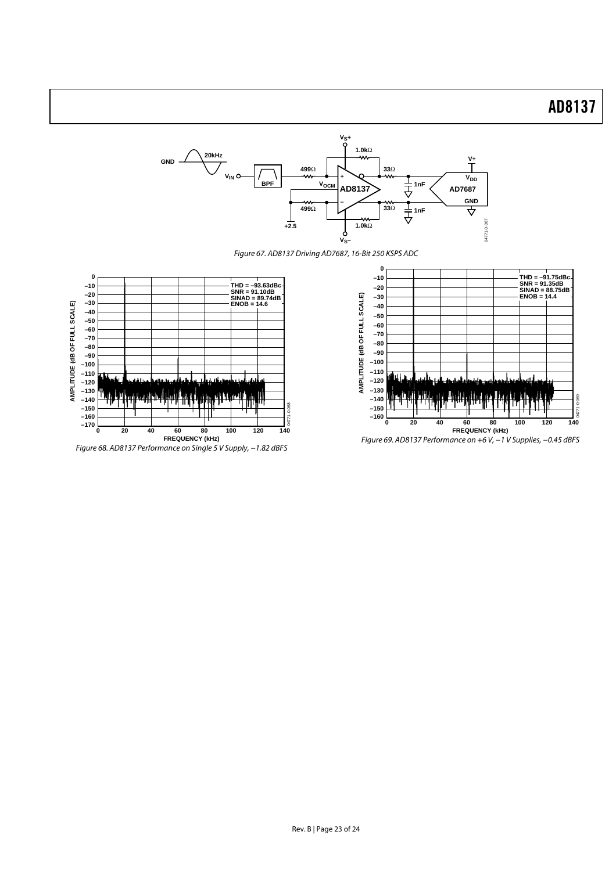

Figure 67. AD8137 Driving AD7687, 16-Bit 250 KSPS ADC







Figure 69. AD8137 Performance on +6 V, −1 V Supplies, −0.45 dBFS